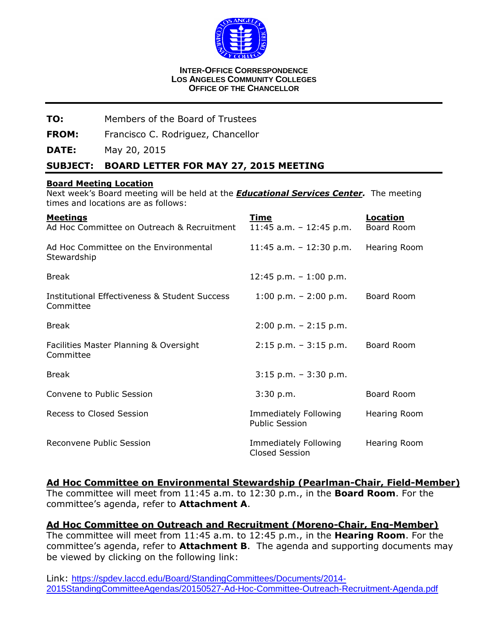

#### **INTER-OFFICE CORRESPONDENCE LOS ANGELES COMMUNITY COLLEGES OFFICE OF THE CHANCELLOR**

#### **TO:** Members of the Board of Trustees

**FROM:** Francisco C. Rodriguez, Chancellor

**DATE:** May 20, 2015

#### **SUBJECT: BOARD LETTER FOR MAY 27, 2015 MEETING**

#### **Board Meeting Location**

Next week's Board meeting will be held at the *Educational Services Center.* The meeting times and locations are as follows:

| <b>Meetings</b><br>Ad Hoc Committee on Outreach & Recruitment | Time<br>$11:45$ a.m. - 12:45 p.m.                     | <b>Location</b><br>Board Room |
|---------------------------------------------------------------|-------------------------------------------------------|-------------------------------|
| Ad Hoc Committee on the Environmental<br>Stewardship          | $11:45$ a.m. - $12:30$ p.m.                           | Hearing Room                  |
| <b>Break</b>                                                  | 12:45 p.m. $-1:00$ p.m.                               |                               |
| Institutional Effectiveness & Student Success<br>Committee    | $1:00 \text{ p.m.} - 2:00 \text{ p.m.}$               | Board Room                    |
| <b>Break</b>                                                  | $2:00$ p.m. $-2:15$ p.m.                              |                               |
| Facilities Master Planning & Oversight<br>Committee           | $2:15$ p.m. $-3:15$ p.m.                              | Board Room                    |
| <b>Break</b>                                                  | $3:15$ p.m. $-3:30$ p.m.                              |                               |
| Convene to Public Session                                     | 3:30 p.m.                                             | Board Room                    |
| Recess to Closed Session                                      | <b>Immediately Following</b><br><b>Public Session</b> | Hearing Room                  |
| Reconvene Public Session                                      | <b>Immediately Following</b><br><b>Closed Session</b> | Hearing Room                  |

#### **Ad Hoc Committee on Environmental Stewardship (Pearlman-Chair, Field-Member)**

The committee will meet from 11:45 a.m. to 12:30 p.m., in the **Board Room**. For the committee's agenda, refer to **Attachment A**.

**Ad Hoc Committee on Outreach and Recruitment (Moreno-Chair, Eng-Member)** The committee will meet from 11:45 a.m. to 12:45 p.m., in the **Hearing Room**. For the committee's agenda, refer to **Attachment B**. The agenda and supporting documents may be viewed by clicking on the following link:

Link: [https://spdev.laccd.edu/Board/StandingCommittees/Documents/2014-](https://spdev.laccd.edu/Board/StandingCommittees/Documents/2014-2015StandingCommitteeAgendas/20150527-Ad-Hoc-Committee-Outreach-Recruitment-Agenda.pdf) [2015StandingCommitteeAgendas/20150527-Ad-Hoc-Committee-Outreach-Recruitment-Agenda.pdf](https://spdev.laccd.edu/Board/StandingCommittees/Documents/2014-2015StandingCommitteeAgendas/20150527-Ad-Hoc-Committee-Outreach-Recruitment-Agenda.pdf)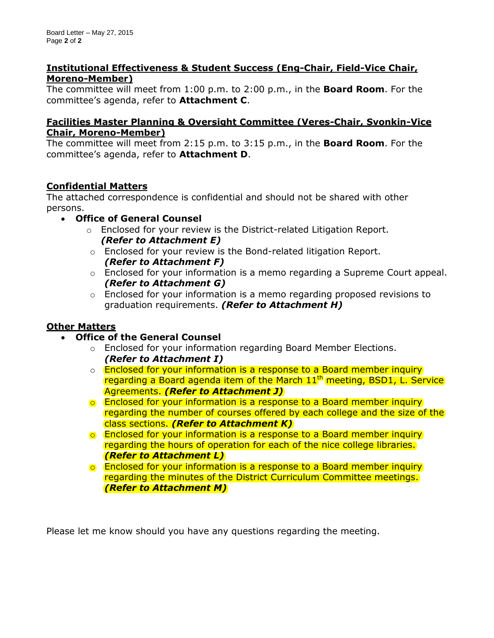#### **Institutional Effectiveness & Student Success (Eng-Chair, Field-Vice Chair, Moreno-Member)**

The committee will meet from 1:00 p.m. to 2:00 p.m., in the **Board Room**. For the committee's agenda, refer to **Attachment C**.

## **Facilities Master Planning & Oversight Committee (Veres-Chair, Svonkin-Vice Chair, Moreno-Member)**

The committee will meet from 2:15 p.m. to 3:15 p.m., in the **Board Room**. For the committee's agenda, refer to **Attachment D**.

# **Confidential Matters**

The attached correspondence is confidential and should not be shared with other persons.

- **Office of General Counsel**
	- $\circ$  Enclosed for your review is the District-related Litigation Report. *(Refer to Attachment E)*
	- o Enclosed for your review is the Bond-related litigation Report. *(Refer to Attachment F)*
	- $\circ$  Enclosed for your information is a memo regarding a Supreme Court appeal. *(Refer to Attachment G)*
	- $\circ$  Enclosed for your information is a memo regarding proposed revisions to graduation requirements. *(Refer to Attachment H)*

# **Other Matters**

- **Office of the General Counsel**
	- $\circ$  Enclosed for your information regarding Board Member Elections. *(Refer to Attachment I)*
	- o **Enclosed for your information is a response to a Board member inquiry** regarding a Board agenda item of the March 11<sup>th</sup> meeting, BSD1, L. Service Agreements. *(Refer to Attachment J)*
	- o Enclosed for your information is a response to a Board member inquiry regarding the number of courses offered by each college and the size of the class sections. *(Refer to Attachment K)*
	- o Enclosed for your information is a response to a Board member inquiry regarding the hours of operation for each of the nice college libraries. *(Refer to Attachment L)*
	- o Enclosed for your information is a response to a Board member inquiry regarding the minutes of the District Curriculum Committee meetings. *(Refer to Attachment M)*

Please let me know should you have any questions regarding the meeting.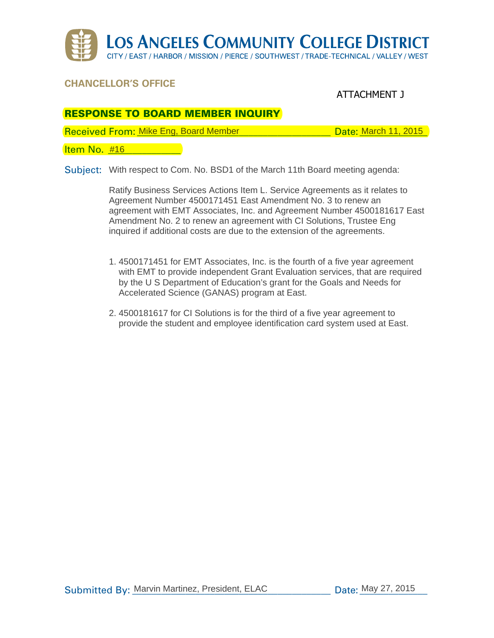

# **Chancellor's office**

# ATTACHMENT J

# **RESPONSE TO BOARD MEMBER INQUIRY**

Received From: Mike Eng, Board Member \_\_\_\_\_\_\_\_\_\_\_\_\_\_\_\_\_\_\_\_\_\_ Date: March 11, 2015

<u>Item No. #16 \_\_\_\_\_\_\_\_\_\_</u>

Subject: With respect to Com. No. BSD1 of the March 11th Board meeting agenda:

Ratify Business Services Actions Item L. Service Agreements as it relates to Agreement Number 4500171451 East Amendment No. 3 to renew an agreement with EMT Associates, Inc. and Agreement Number 4500181617 East Amendment No. 2 to renew an agreement with CI Solutions, Trustee Eng inquired if additional costs are due to the extension of the agreements.

- 1. 4500171451 for EMT Associates, Inc. is the fourth of a five year agreement with EMT to provide independent Grant Evaluation services, that are required by the U S Department of Education's grant for the Goals and Needs for Accelerated Science (GANAS) program at East.
- 2. 4500181617 for CI Solutions is for the third of a five year agreement to provide the student and employee identification card system used at East.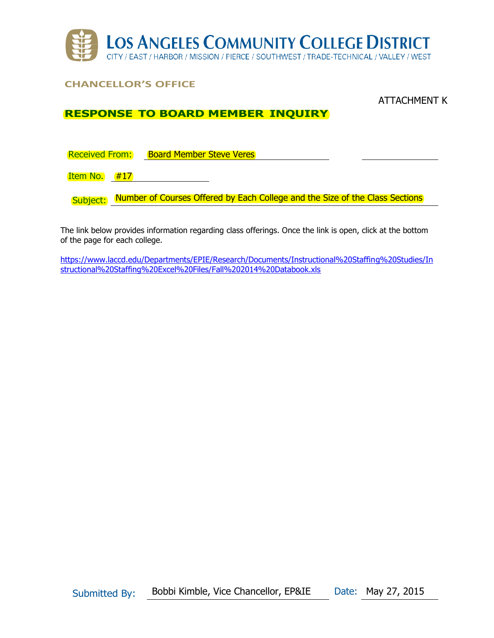

# **CHANCELLOR'S OFFICE**

#### ATTACHMENT K

## **RESPONSE TO BOARD MEMBER INQUIRY**

Received From: Board Member Steve Veres

Item No.  $#17$ 

Subject: Number of Courses Offered by Each College and the Size of the Class Sections

The link below provides information regarding class offerings. Once the link is open, click at the bottom of the page for each college.

[https://www.laccd.edu/Departments/EPIE/Research/Documents/Instructional%20Staffing%20Studies/In](https://www.laccd.edu/Departments/EPIE/Research/Documents/Instructional%20Staffing%20Studies/Instructional%20Staffing%20Excel%20Files/Fall%202014%20Databook.xls) [structional%20Staffing%20Excel%20Files/Fall%202014%20Databook.xls](https://www.laccd.edu/Departments/EPIE/Research/Documents/Instructional%20Staffing%20Studies/Instructional%20Staffing%20Excel%20Files/Fall%202014%20Databook.xls)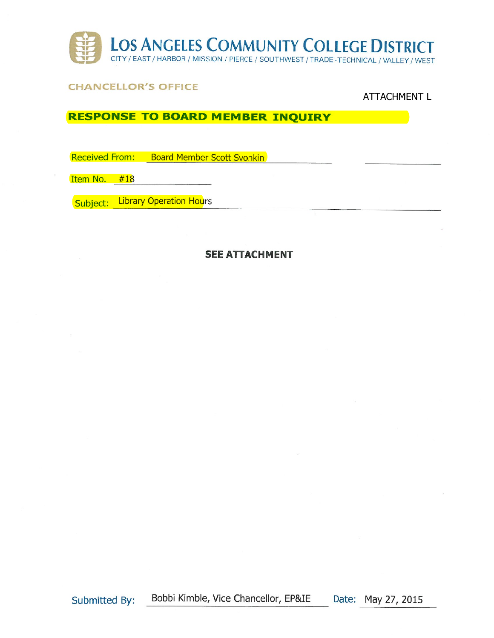

### CHANCELLOR'S OFFICE

### ATTACHMENT L

# RESPONSE TO BOARD MEMBER INQUIRY

Received From: Board Member Scott Svonkin

Item No. #18

Subject: Library Operation Hours

#### SEE ATTACHMENT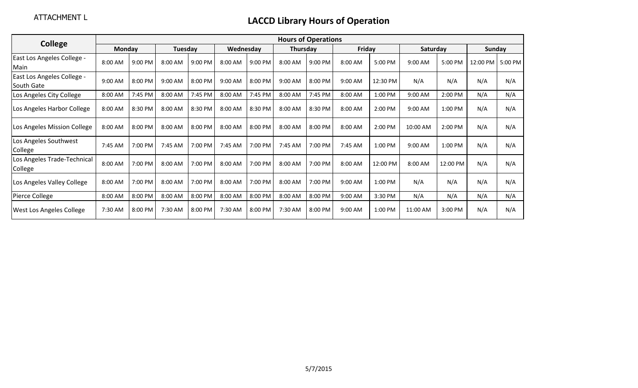| <b>College</b>                           | <b>Hours of Operations</b> |         |         |         |           |           |                 |         |           |          |           |          |          |         |
|------------------------------------------|----------------------------|---------|---------|---------|-----------|-----------|-----------------|---------|-----------|----------|-----------|----------|----------|---------|
|                                          | <b>Monday</b>              |         | Tuesday |         | Wednesday |           | <b>Thursday</b> |         | Friday    |          | Saturday  |          | Sunday   |         |
| East Los Angeles College -<br>Main       | 8:00 AM                    | 9:00 PM | 8:00 AM | 9:00 PM | 8:00 AM   | 9:00 PM   | 8:00 AM         | 9:00 PM | 8:00 AM   | 5:00 PM  | $9:00$ AM | 5:00 PM  | 12:00 PM | 5:00 PM |
| East Los Angeles College -<br>South Gate | 9:00 AM                    | 8:00 PM | 9:00 AM | 8:00 PM | 9:00 AM   | 8:00 PM   | 9:00 AM         | 8:00 PM | 9:00 AM   | 12:30 PM | N/A       | N/A      | N/A      | N/A     |
| Los Angeles City College                 | 8:00 AM                    | 7:45 PM | 8:00 AM | 7:45 PM | 8:00 AM   | 7:45 PM   | 8:00 AM         | 7:45 PM | 8:00 AM   | 1:00 PM  | 9:00 AM   | 2:00 PM  | N/A      | N/A     |
| Los Angeles Harbor College               | 8:00 AM                    | 8:30 PM | 8:00 AM | 8:30 PM | 8:00 AM   | 8:30 PM   | 8:00 AM         | 8:30 PM | 8:00 AM   | 2:00 PM  | 9:00 AM   | 1:00 PM  | N/A      | N/A     |
| Los Angeles Mission College              | 8:00 AM                    | 8:00 PM | 8:00 AM | 8:00 PM | 8:00 AM   | $8:00$ PM | $8:00$ AM       | 8:00 PM | $8:00$ AM | 2:00 PM  | 10:00 AM  | 2:00 PM  | N/A      | N/A     |
| Los Angeles Southwest<br>College         | 7:45 AM                    | 7:00 PM | 7:45 AM | 7:00 PM | 7:45 AM   | 7:00 PM   | 7:45 AM         | 7:00 PM | 7:45 AM   | 1:00 PM  | 9:00 AM   | 1:00 PM  | N/A      | N/A     |
| Los Angeles Trade-Technical<br>College   | 8:00 AM                    | 7:00 PM | 8:00 AM | 7:00 PM | 8:00 AM   | 7:00 PM   | 8:00 AM         | 7:00 PM | 8:00 AM   | 12:00 PM | 8:00 AM   | 12:00 PM | N/A      | N/A     |
| Los Angeles Valley College               | 8:00 AM                    | 7:00 PM | 8:00 AM | 7:00 PM | 8:00 AM   | 7:00 PM   | 8:00 AM         | 7:00 PM | 9:00 AM   | 1:00 PM  | N/A       | N/A      | N/A      | N/A     |
| Pierce College                           | 8:00 AM                    | 8:00 PM | 8:00 AM | 8:00 PM | 8:00 AM   | 8:00 PM   | 8:00 AM         | 8:00 PM | 9:00 AM   | 3:30 PM  | N/A       | N/A      | N/A      | N/A     |
| <b>West Los Angeles College</b>          | 7:30 AM                    | 8:00 PM | 7:30 AM | 8:00 PM | 7:30 AM   | 8:00 PM   | 7:30 AM         | 8:00 PM | 9:00 AM   | 1:00 PM  | 11:00 AM  | 3:00 PM  | N/A      | N/A     |